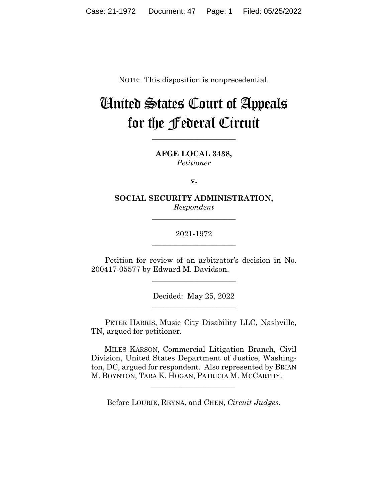NOTE: This disposition is nonprecedential.

# United States Court of Appeals for the Federal Circuit

**AFGE LOCAL 3438,** *Petitioner*

**\_\_\_\_\_\_\_\_\_\_\_\_\_\_\_\_\_\_\_\_\_\_** 

**v.**

**SOCIAL SECURITY ADMINISTRATION,** *Respondent*

**\_\_\_\_\_\_\_\_\_\_\_\_\_\_\_\_\_\_\_\_\_\_** 

2021-1972 **\_\_\_\_\_\_\_\_\_\_\_\_\_\_\_\_\_\_\_\_\_\_** 

Petition for review of an arbitrator's decision in No. 200417-05577 by Edward M. Davidson.

 $\overline{\phantom{a}}$  , we can assume that the contract of  $\overline{\phantom{a}}$ 

Decided: May 25, 2022 \_\_\_\_\_\_\_\_\_\_\_\_\_\_\_\_\_\_\_\_\_\_

PETER HARRIS, Music City Disability LLC, Nashville, TN, argued for petitioner.

 MILES KARSON, Commercial Litigation Branch, Civil Division, United States Department of Justice, Washington, DC, argued for respondent. Also represented by BRIAN M. BOYNTON, TARA K. HOGAN, PATRICIA M. MCCARTHY.

Before LOURIE, REYNA, and CHEN, *Circuit Judges*.

 $\mathcal{L}_\text{max}$  and  $\mathcal{L}_\text{max}$  and  $\mathcal{L}_\text{max}$  and  $\mathcal{L}_\text{max}$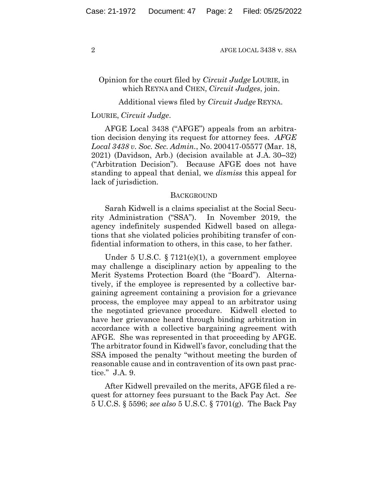## Opinion for the court filed by *Circuit Judge* LOURIE, in which REYNA and CHEN, *Circuit Judges*, join.

## Additional views filed by *Circuit Judge* REYNA.

### LOURIE, *Circuit Judge*.

AFGE Local 3438 ("AFGE") appeals from an arbitration decision denying its request for attorney fees. *AFGE Local 3438 v. Soc. Sec. Admin.*, No. 200417-05577 (Mar. 18, 2021) (Davidson, Arb.) (decision available at J.A. 30–32) ("Arbitration Decision"). Because AFGE does not have standing to appeal that denial, we *dismiss* this appeal for lack of jurisdiction.

#### **BACKGROUND**

Sarah Kidwell is a claims specialist at the Social Security Administration ("SSA"). In November 2019, the agency indefinitely suspended Kidwell based on allegations that she violated policies prohibiting transfer of confidential information to others, in this case, to her father.

Under 5 U.S.C.  $\S 7121(e)(1)$ , a government employee may challenge a disciplinary action by appealing to the Merit Systems Protection Board (the "Board"). Alternatively, if the employee is represented by a collective bargaining agreement containing a provision for a grievance process, the employee may appeal to an arbitrator using the negotiated grievance procedure. Kidwell elected to have her grievance heard through binding arbitration in accordance with a collective bargaining agreement with AFGE. She was represented in that proceeding by AFGE. The arbitrator found in Kidwell's favor, concluding that the SSA imposed the penalty "without meeting the burden of reasonable cause and in contravention of its own past practice." J.A. 9.

After Kidwell prevailed on the merits, AFGE filed a request for attorney fees pursuant to the Back Pay Act. *See* 5 U.C.S. § 5596; *see also* 5 U.S.C. § 7701(g). The Back Pay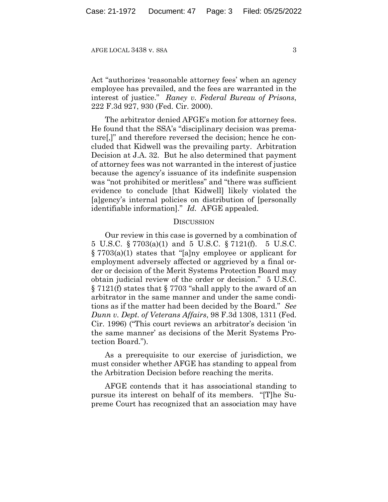Act "authorizes 'reasonable attorney fees' when an agency employee has prevailed, and the fees are warranted in the interest of justice." *Raney v. Federal Bureau of Prisons*, 222 F.3d 927, 930 (Fed. Cir. 2000).

The arbitrator denied AFGE's motion for attorney fees. He found that the SSA's "disciplinary decision was premature[,]" and therefore reversed the decision; hence he concluded that Kidwell was the prevailing party. Arbitration Decision at J.A. 32. But he also determined that payment of attorney fees was not warranted in the interest of justice because the agency's issuance of its indefinite suspension was "not prohibited or meritless" and "there was sufficient evidence to conclude [that Kidwell] likely violated the [a]gency's internal policies on distribution of [personally identifiable information]." *Id.* AFGE appealed.

### **DISCUSSION**

Our review in this case is governed by a combination of 5 U.S.C. § 7703(a)(1) and 5 U.S.C. § 7121(f). 5 U.S.C. § 7703(a)(1) states that "[a]ny employee or applicant for employment adversely affected or aggrieved by a final order or decision of the Merit Systems Protection Board may obtain judicial review of the order or decision." 5 U.S.C. § 7121(f) states that § 7703 "shall apply to the award of an arbitrator in the same manner and under the same conditions as if the matter had been decided by the Board." *See Dunn v. Dept. of Veterans Affairs*, 98 F.3d 1308, 1311 (Fed. Cir. 1996) ("This court reviews an arbitrator's decision 'in the same manner' as decisions of the Merit Systems Protection Board.").

As a prerequisite to our exercise of jurisdiction, we must consider whether AFGE has standing to appeal from the Arbitration Decision before reaching the merits.

AFGE contends that it has associational standing to pursue its interest on behalf of its members. "[T]he Supreme Court has recognized that an association may have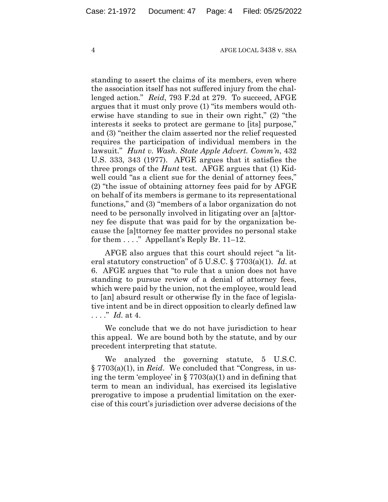standing to assert the claims of its members, even where the association itself has not suffered injury from the challenged action." *Reid*, 793 F.2d at 279. To succeed, AFGE argues that it must only prove (1) "its members would otherwise have standing to sue in their own right," (2) "the interests it seeks to protect are germane to [its] purpose," and (3) "neither the claim asserted nor the relief requested requires the participation of individual members in the lawsuit." *Hunt v. Wash. State Apple Advert. Comm'n*, 432 U.S. 333, 343 (1977). AFGE argues that it satisfies the three prongs of the *Hunt* test. AFGE argues that (1) Kidwell could "as a client sue for the denial of attorney fees," (2) "the issue of obtaining attorney fees paid for by AFGE on behalf of its members is germane to its representational functions," and (3) "members of a labor organization do not need to be personally involved in litigating over an [a]ttorney fee dispute that was paid for by the organization because the [a]ttorney fee matter provides no personal stake for them . . . ." Appellant's Reply Br. 11–12.

AFGE also argues that this court should reject "a literal statutory construction" of 5 U.S.C. § 7703(a)(1). *Id.* at 6. AFGE argues that "to rule that a union does not have standing to pursue review of a denial of attorney fees, which were paid by the union, not the employee, would lead to [an] absurd result or otherwise fly in the face of legislative intent and be in direct opposition to clearly defined law . . . ." *Id.* at 4.

We conclude that we do not have jurisdiction to hear this appeal. We are bound both by the statute, and by our precedent interpreting that statute.

We analyzed the governing statute, 5 U.S.C. § 7703(a)(1), in *Reid*. We concluded that "Congress, in using the term 'employee' in  $\S 7703(a)(1)$  and in defining that term to mean an individual, has exercised its legislative prerogative to impose a prudential limitation on the exercise of this court's jurisdiction over adverse decisions of the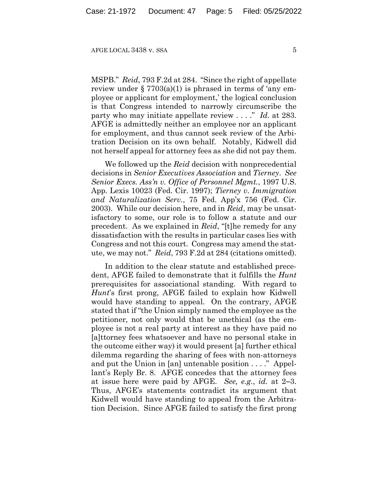MSPB." *Reid*, 793 F.2d at 284. "Since the right of appellate review under  $\S 7703(a)(1)$  is phrased in terms of 'any employee or applicant for employment,' the logical conclusion is that Congress intended to narrowly circumscribe the party who may initiate appellate review . . . ." *Id.* at 283. AFGE is admittedly neither an employee nor an applicant for employment, and thus cannot seek review of the Arbitration Decision on its own behalf. Notably, Kidwell did not herself appeal for attorney fees as she did not pay them.

We followed up the *Reid* decision with nonprecedential decisions in *Senior Executives Association* and *Tierney*. *See Senior Execs. Ass'n v. Office of Personnel Mgmt.*, 1997 U.S. App. Lexis 10023 (Fed. Cir. 1997); *Tierney v. Immigration and Naturalization Serv.*, 75 Fed. App'x 756 (Fed. Cir. 2003). While our decision here, and in *Reid*, may be unsatisfactory to some, our role is to follow a statute and our precedent. As we explained in *Reid*, "[t]he remedy for any dissatisfaction with the results in particular cases lies with Congress and not this court. Congress may amend the statute, we may not." *Reid*, 793 F.2d at 284 (citations omitted).

In addition to the clear statute and established precedent, AFGE failed to demonstrate that it fulfills the *Hunt*  prerequisites for associational standing. With regard to *Hunt*'s first prong, AFGE failed to explain how Kidwell would have standing to appeal. On the contrary, AFGE stated that if "the Union simply named the employee as the petitioner, not only would that be unethical (as the employee is not a real party at interest as they have paid no [a]ttorney fees whatsoever and have no personal stake in the outcome either way) it would present [a] further ethical dilemma regarding the sharing of fees with non-attorneys and put the Union in [an] untenable position . . . ." Appellant's Reply Br. 8. AFGE concedes that the attorney fees at issue here were paid by AFGE. *See, e.g.*, *id.* at 2–3. Thus, AFGE's statements contradict its argument that Kidwell would have standing to appeal from the Arbitration Decision. Since AFGE failed to satisfy the first prong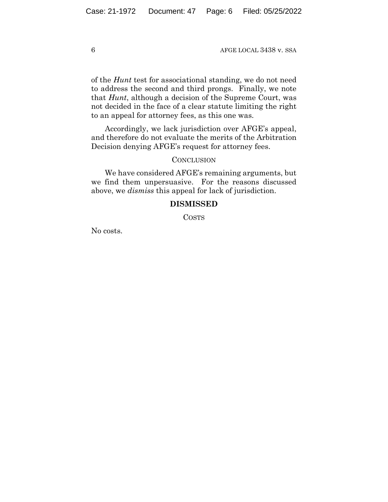of the *Hunt* test for associational standing, we do not need to address the second and third prongs. Finally, we note that *Hunt*, although a decision of the Supreme Court, was not decided in the face of a clear statute limiting the right to an appeal for attorney fees, as this one was.

Accordingly, we lack jurisdiction over AFGE's appeal, and therefore do not evaluate the merits of the Arbitration Decision denying AFGE's request for attorney fees.

## **CONCLUSION**

We have considered AFGE's remaining arguments, but we find them unpersuasive. For the reasons discussed above, we *dismiss* this appeal for lack of jurisdiction.

## **DISMISSED**

COSTS

No costs.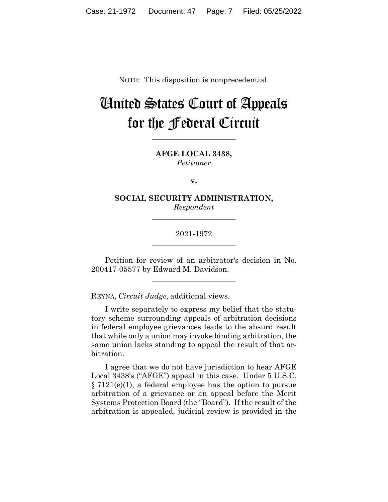NOTE: This disposition is nonprecedential.

# United States Court of Appeals for the Federal Circuit

**AFGE LOCAL 3438,** *Petitioner*

**\_\_\_\_\_\_\_\_\_\_\_\_\_\_\_\_\_\_\_\_\_\_** 

**v.**

**SOCIAL SECURITY ADMINISTRATION,** *Respondent*

**\_\_\_\_\_\_\_\_\_\_\_\_\_\_\_\_\_\_\_\_\_\_** 

2021-1972 **\_\_\_\_\_\_\_\_\_\_\_\_\_\_\_\_\_\_\_\_\_\_** 

Petition for review of an arbitrator's decision in No. 200417-05577 by Edward M. Davidson.

 $\overline{\phantom{a}}$  , we can assume that the contract of  $\overline{\phantom{a}}$ 

REYNA, *Circuit Judge*, additional views.

I write separately to express my belief that the statutory scheme surrounding appeals of arbitration decisions in federal employee grievances leads to the absurd result that while only a union may invoke binding arbitration, the same union lacks standing to appeal the result of that arbitration.

I agree that we do not have jurisdiction to hear AFGE Local 3438's ("AFGE") appeal in this case. Under 5 U.S.C. § 7121(e)(1), a federal employee has the option to pursue arbitration of a grievance or an appeal before the Merit Systems Protection Board (the "Board"). If the result of the arbitration is appealed, judicial review is provided in the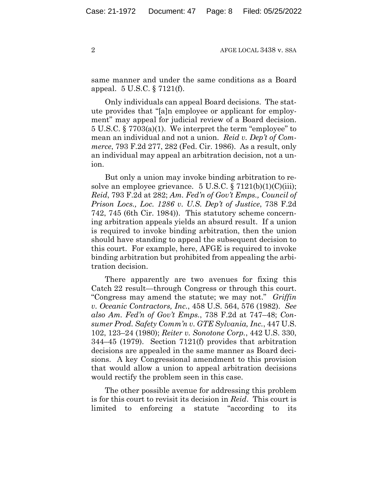same manner and under the same conditions as a Board appeal. 5 U.S.C. § 7121(f).

Only individuals can appeal Board decisions. The statute provides that "[a]n employee or applicant for employment" may appeal for judicial review of a Board decision. 5 U.S.C. § 7703(a)(1). We interpret the term "employee" to mean an individual and not a union. *Reid v. Dep't of Commerce*, 793 F.2d 277, 282 (Fed. Cir. 1986). As a result, only an individual may appeal an arbitration decision, not a union.

But only a union may invoke binding arbitration to resolve an employee grievance.  $5 \text{ U.S.C.} \$   $7121(b)(1)(C)(iii);$ *Reid*, 793 F.2d at 282; *Am. Fed'n of Gov't Emps., Council of Prison Locs., Loc. 1286 v. U.S. Dep't of Justice*, 738 F.2d 742, 745 (6th Cir. 1984)). This statutory scheme concerning arbitration appeals yields an absurd result. If a union is required to invoke binding arbitration, then the union should have standing to appeal the subsequent decision to this court. For example, here, AFGE is required to invoke binding arbitration but prohibited from appealing the arbitration decision.

There apparently are two avenues for fixing this Catch 22 result—through Congress or through this court. "Congress may amend the statute; we may not." *Griffin v. Oceanic Contractors, Inc.*, 458 U.S. 564, 576 (1982). *See also Am. Fed'n of Gov't Emps.*, 738 F.2d at 747–48; *Consumer Prod. Safety Comm'n v. GTE Sylvania, Inc.*, 447 U.S. 102, 123–24 (1980); *Reiter v. Sonotone Corp.*, 442 U.S. 330, 344–45 (1979). Section 7121(f) provides that arbitration decisions are appealed in the same manner as Board decisions. A key Congressional amendment to this provision that would allow a union to appeal arbitration decisions would rectify the problem seen in this case.

The other possible avenue for addressing this problem is for this court to revisit its decision in *Reid*. This court is limited to enforcing a statute "according to its